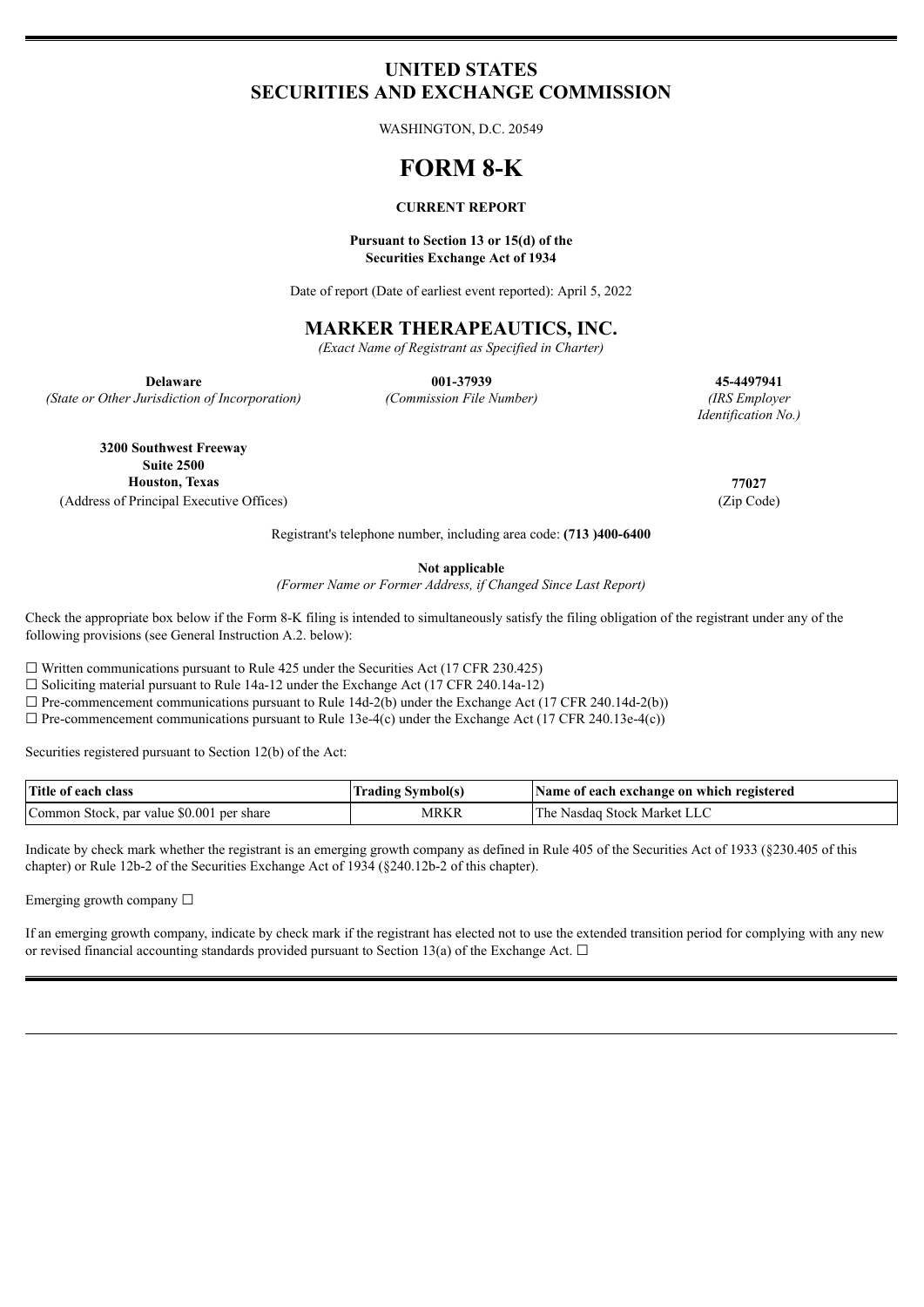# **UNITED STATES SECURITIES AND EXCHANGE COMMISSION**

WASHINGTON, D.C. 20549

# **FORM 8-K**

#### **CURRENT REPORT**

#### **Pursuant to Section 13 or 15(d) of the Securities Exchange Act of 1934**

Date of report (Date of earliest event reported): April 5, 2022

## **MARKER THERAPEAUTICS, INC.**

*(Exact Name of Registrant as Specified in Charter)*

*(State or Other Jurisdiction of Incorporation) (Commission File Number) (IRS Employer*

**Delaware 001-37939 45-4497941**

*Identification No.)*

**3200 Southwest Freeway Suite 2500 Houston, Texas 77027** (Address of Principal Executive Offices) (Zip Code)

Registrant's telephone number, including area code: **(713 )400-6400**

**Not applicable**

*(Former Name or Former Address, if Changed Since Last Report)*

Check the appropriate box below if the Form 8-K filing is intended to simultaneously satisfy the filing obligation of the registrant under any of the following provisions (see General Instruction A.2. below):

 $\Box$  Written communications pursuant to Rule 425 under the Securities Act (17 CFR 230.425)

☐ Soliciting material pursuant to Rule 14a-12 under the Exchange Act (17 CFR 240.14a-12)

 $\Box$  Pre-commencement communications pursuant to Rule 14d-2(b) under the Exchange Act (17 CFR 240.14d-2(b))

 $\Box$  Pre-commencement communications pursuant to Rule 13e-4(c) under the Exchange Act (17 CFR 240.13e-4(c))

Securities registered pursuant to Section 12(b) of the Act:

| Title of each class                       | Trading Symbol(s) | Name of each exchange on which registered |
|-------------------------------------------|-------------------|-------------------------------------------|
| Common Stock, par value \$0.001 per share | MRKR              | : Nasdag Stock Market LLC<br>1 he         |

Indicate by check mark whether the registrant is an emerging growth company as defined in Rule 405 of the Securities Act of 1933 (§230.405 of this chapter) or Rule 12b-2 of the Securities Exchange Act of 1934 (§240.12b-2 of this chapter).

Emerging growth company  $\Box$ 

If an emerging growth company, indicate by check mark if the registrant has elected not to use the extended transition period for complying with any new or revised financial accounting standards provided pursuant to Section 13(a) of the Exchange Act.  $\Box$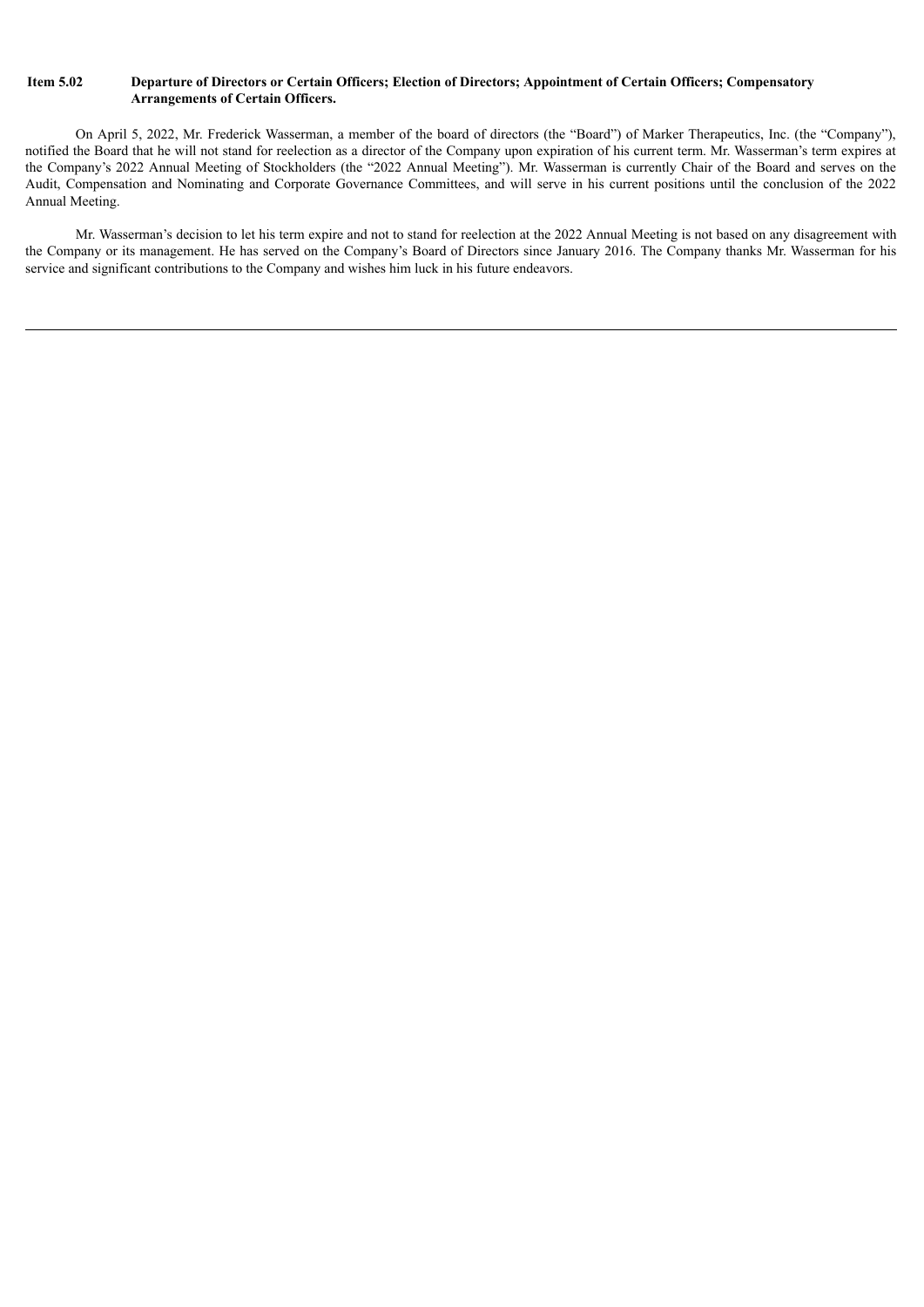#### Item 5.02 Departure of Directors or Certain Officers; Election of Directors; Appointment of Certain Officers; Compensatory **Arrangements of Certain Officers.**

On April 5, 2022, Mr. Frederick Wasserman, a member of the board of directors (the "Board") of Marker Therapeutics, Inc. (the "Company"), notified the Board that he will not stand for reelection as a director of the Company upon expiration of his current term. Mr. Wasserman's term expires at the Company's 2022 Annual Meeting of Stockholders (the "2022 Annual Meeting"). Mr. Wasserman is currently Chair of the Board and serves on the Audit, Compensation and Nominating and Corporate Governance Committees, and will serve in his current positions until the conclusion of the 2022 Annual Meeting.

Mr. Wasserman's decision to let his term expire and not to stand for reelection at the 2022 Annual Meeting is not based on any disagreement with the Company or its management. He has served on the Company's Board of Directors since January 2016. The Company thanks Mr. Wasserman for his service and significant contributions to the Company and wishes him luck in his future endeavors.